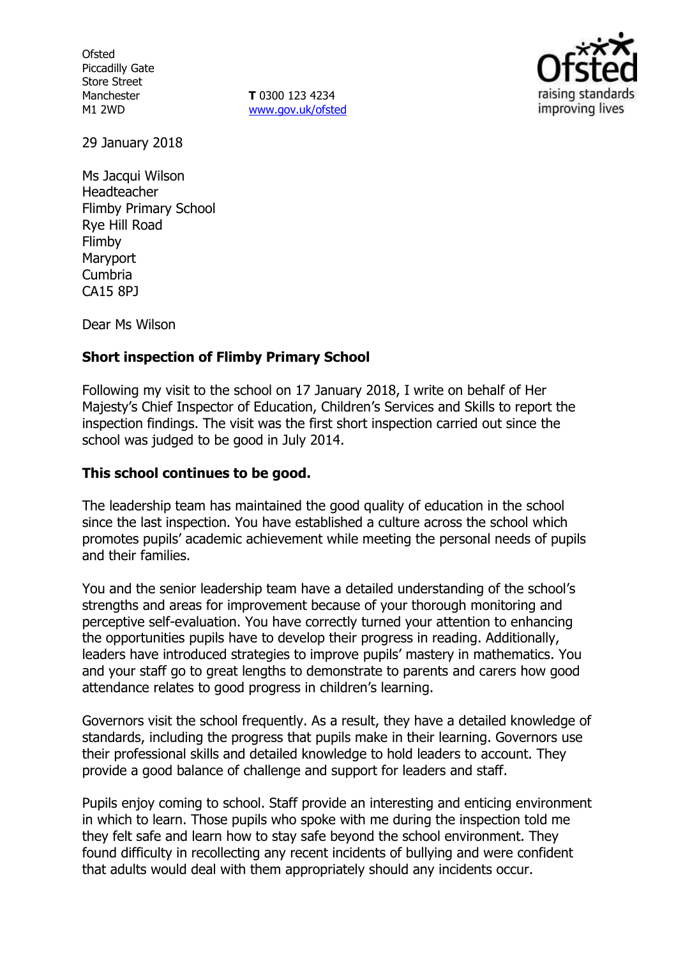**Ofsted** Piccadilly Gate Store Street Manchester M1 2WD

**T** 0300 123 4234 www.gov.uk/ofsted



29 January 2018

Ms Jacqui Wilson Headteacher Flimby Primary School Rye Hill Road Flimby Maryport Cumbria CA15 8PJ

Dear Ms Wilson

## **Short inspection of Flimby Primary School**

Following my visit to the school on 17 January 2018, I write on behalf of Her Majesty's Chief Inspector of Education, Children's Services and Skills to report the inspection findings. The visit was the first short inspection carried out since the school was judged to be good in July 2014.

### **This school continues to be good.**

The leadership team has maintained the good quality of education in the school since the last inspection. You have established a culture across the school which promotes pupils' academic achievement while meeting the personal needs of pupils and their families.

You and the senior leadership team have a detailed understanding of the school's strengths and areas for improvement because of your thorough monitoring and perceptive self-evaluation. You have correctly turned your attention to enhancing the opportunities pupils have to develop their progress in reading. Additionally, leaders have introduced strategies to improve pupils' mastery in mathematics. You and your staff go to great lengths to demonstrate to parents and carers how good attendance relates to good progress in children's learning.

Governors visit the school frequently. As a result, they have a detailed knowledge of standards, including the progress that pupils make in their learning. Governors use their professional skills and detailed knowledge to hold leaders to account. They provide a good balance of challenge and support for leaders and staff.

Pupils enjoy coming to school. Staff provide an interesting and enticing environment in which to learn. Those pupils who spoke with me during the inspection told me they felt safe and learn how to stay safe beyond the school environment. They found difficulty in recollecting any recent incidents of bullying and were confident that adults would deal with them appropriately should any incidents occur.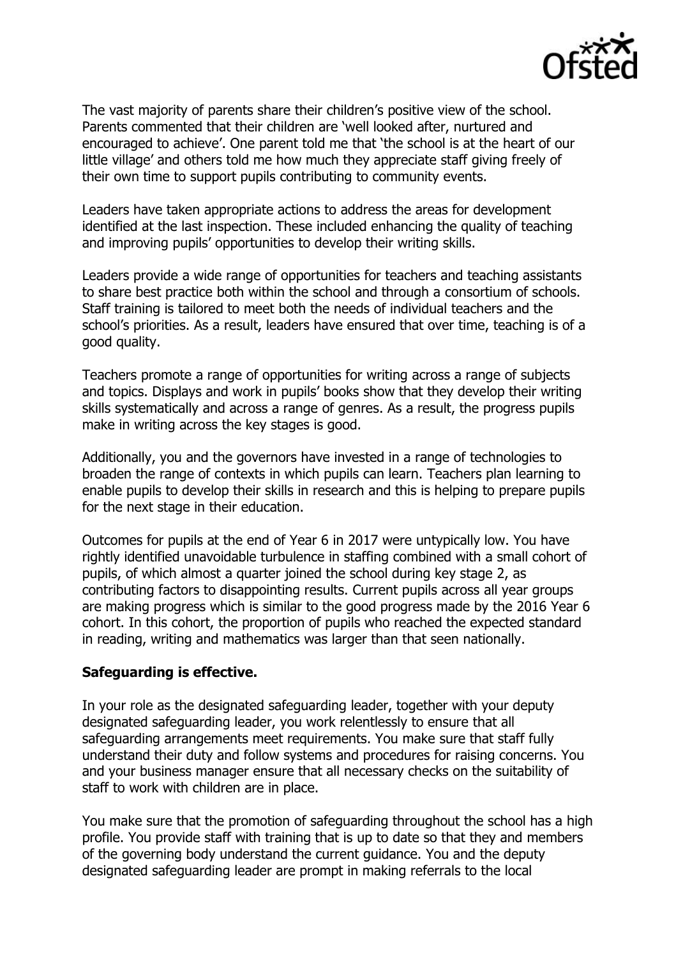

The vast majority of parents share their children's positive view of the school. Parents commented that their children are 'well looked after, nurtured and encouraged to achieve'. One parent told me that 'the school is at the heart of our little village' and others told me how much they appreciate staff giving freely of their own time to support pupils contributing to community events.

Leaders have taken appropriate actions to address the areas for development identified at the last inspection. These included enhancing the quality of teaching and improving pupils' opportunities to develop their writing skills.

Leaders provide a wide range of opportunities for teachers and teaching assistants to share best practice both within the school and through a consortium of schools. Staff training is tailored to meet both the needs of individual teachers and the school's priorities. As a result, leaders have ensured that over time, teaching is of a good quality.

Teachers promote a range of opportunities for writing across a range of subjects and topics. Displays and work in pupils' books show that they develop their writing skills systematically and across a range of genres. As a result, the progress pupils make in writing across the key stages is good.

Additionally, you and the governors have invested in a range of technologies to broaden the range of contexts in which pupils can learn. Teachers plan learning to enable pupils to develop their skills in research and this is helping to prepare pupils for the next stage in their education.

Outcomes for pupils at the end of Year 6 in 2017 were untypically low. You have rightly identified unavoidable turbulence in staffing combined with a small cohort of pupils, of which almost a quarter joined the school during key stage 2, as contributing factors to disappointing results. Current pupils across all year groups are making progress which is similar to the good progress made by the 2016 Year 6 cohort. In this cohort, the proportion of pupils who reached the expected standard in reading, writing and mathematics was larger than that seen nationally.

## **Safeguarding is effective.**

In your role as the designated safeguarding leader, together with your deputy designated safeguarding leader, you work relentlessly to ensure that all safeguarding arrangements meet requirements. You make sure that staff fully understand their duty and follow systems and procedures for raising concerns. You and your business manager ensure that all necessary checks on the suitability of staff to work with children are in place.

You make sure that the promotion of safeguarding throughout the school has a high profile. You provide staff with training that is up to date so that they and members of the governing body understand the current guidance. You and the deputy designated safeguarding leader are prompt in making referrals to the local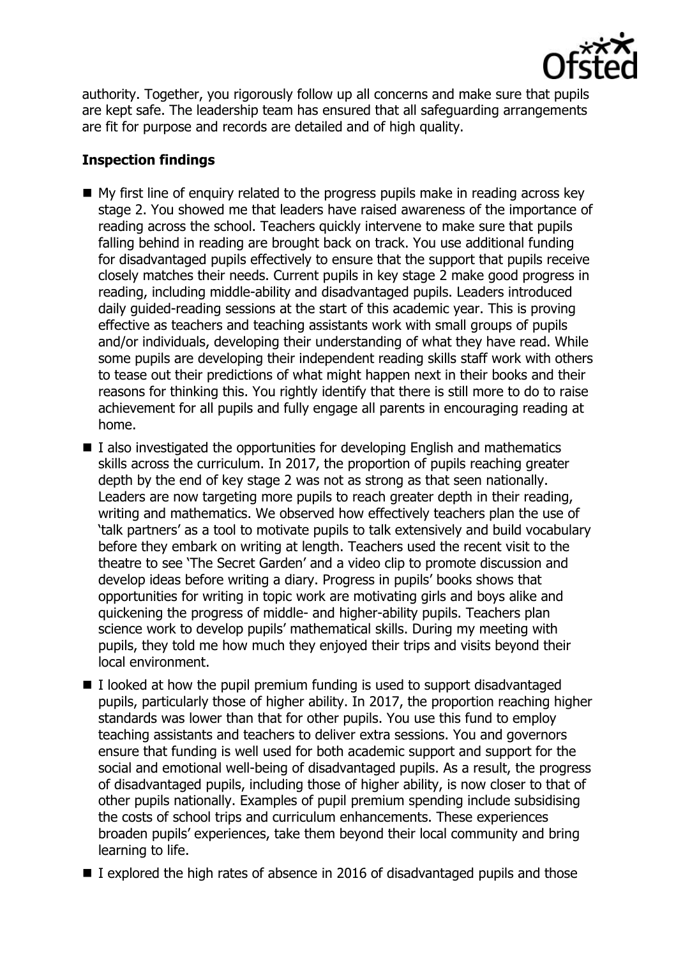

authority. Together, you rigorously follow up all concerns and make sure that pupils are kept safe. The leadership team has ensured that all safeguarding arrangements are fit for purpose and records are detailed and of high quality.

# **Inspection findings**

- $\blacksquare$  My first line of enquiry related to the progress pupils make in reading across key stage 2. You showed me that leaders have raised awareness of the importance of reading across the school. Teachers quickly intervene to make sure that pupils falling behind in reading are brought back on track. You use additional funding for disadvantaged pupils effectively to ensure that the support that pupils receive closely matches their needs. Current pupils in key stage 2 make good progress in reading, including middle-ability and disadvantaged pupils. Leaders introduced daily guided-reading sessions at the start of this academic year. This is proving effective as teachers and teaching assistants work with small groups of pupils and/or individuals, developing their understanding of what they have read. While some pupils are developing their independent reading skills staff work with others to tease out their predictions of what might happen next in their books and their reasons for thinking this. You rightly identify that there is still more to do to raise achievement for all pupils and fully engage all parents in encouraging reading at home.
- $\blacksquare$  I also investigated the opportunities for developing English and mathematics skills across the curriculum. In 2017, the proportion of pupils reaching greater depth by the end of key stage 2 was not as strong as that seen nationally. Leaders are now targeting more pupils to reach greater depth in their reading, writing and mathematics. We observed how effectively teachers plan the use of 'talk partners' as a tool to motivate pupils to talk extensively and build vocabulary before they embark on writing at length. Teachers used the recent visit to the theatre to see 'The Secret Garden' and a video clip to promote discussion and develop ideas before writing a diary. Progress in pupils' books shows that opportunities for writing in topic work are motivating girls and boys alike and quickening the progress of middle- and higher-ability pupils. Teachers plan science work to develop pupils' mathematical skills. During my meeting with pupils, they told me how much they enjoyed their trips and visits beyond their local environment.
- $\blacksquare$  I looked at how the pupil premium funding is used to support disadvantaged pupils, particularly those of higher ability. In 2017, the proportion reaching higher standards was lower than that for other pupils. You use this fund to employ teaching assistants and teachers to deliver extra sessions. You and governors ensure that funding is well used for both academic support and support for the social and emotional well-being of disadvantaged pupils. As a result, the progress of disadvantaged pupils, including those of higher ability, is now closer to that of other pupils nationally. Examples of pupil premium spending include subsidising the costs of school trips and curriculum enhancements. These experiences broaden pupils' experiences, take them beyond their local community and bring learning to life.
- $\blacksquare$  I explored the high rates of absence in 2016 of disadvantaged pupils and those